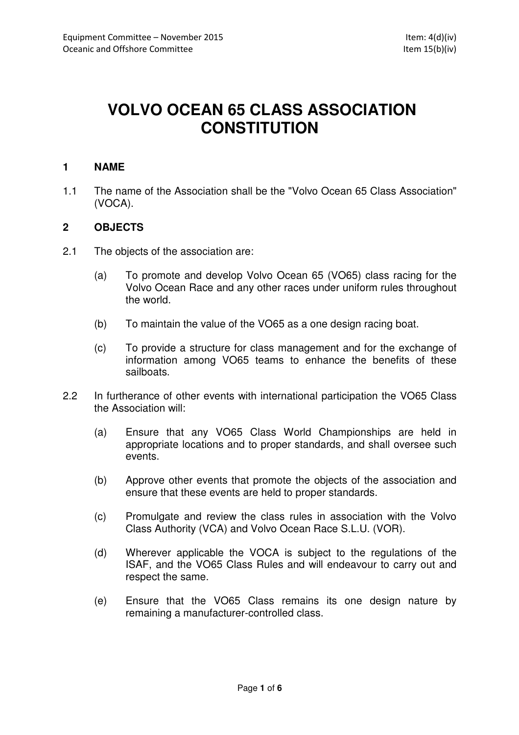# **VOLVO OCEAN 65 CLASS ASSOCIATION CONSTITUTION**

## **1 NAME**

1.1 The name of the Association shall be the "Volvo Ocean 65 Class Association" (VOCA).

## **2 OBJECTS**

- 2.1 The objects of the association are:
	- (a) To promote and develop Volvo Ocean 65 (VO65) class racing for the Volvo Ocean Race and any other races under uniform rules throughout the world.
	- (b) To maintain the value of the VO65 as a one design racing boat.
	- (c) To provide a structure for class management and for the exchange of information among VO65 teams to enhance the benefits of these sailboats.
- 2.2 In furtherance of other events with international participation the VO65 Class the Association will:
	- (a) Ensure that any VO65 Class World Championships are held in appropriate locations and to proper standards, and shall oversee such events.
	- (b) Approve other events that promote the objects of the association and ensure that these events are held to proper standards.
	- (c) Promulgate and review the class rules in association with the Volvo Class Authority (VCA) and Volvo Ocean Race S.L.U. (VOR).
	- (d) Wherever applicable the VOCA is subject to the regulations of the ISAF, and the VO65 Class Rules and will endeavour to carry out and respect the same.
	- (e) Ensure that the VO65 Class remains its one design nature by remaining a manufacturer-controlled class.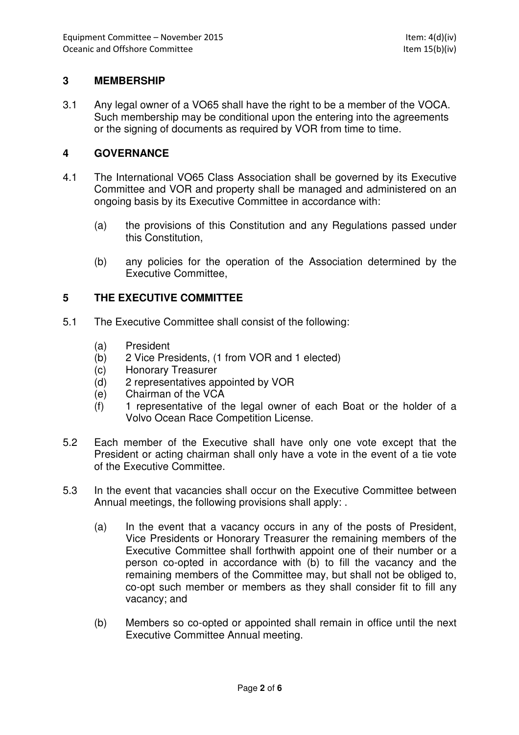# **3 MEMBERSHIP**

3.1 Any legal owner of a VO65 shall have the right to be a member of the VOCA. Such membership may be conditional upon the entering into the agreements or the signing of documents as required by VOR from time to time.

#### **4 GOVERNANCE**

- 4.1 The International VO65 Class Association shall be governed by its Executive Committee and VOR and property shall be managed and administered on an ongoing basis by its Executive Committee in accordance with:
	- (a) the provisions of this Constitution and any Regulations passed under this Constitution,
	- (b) any policies for the operation of the Association determined by the Executive Committee,

## **5 THE EXECUTIVE COMMITTEE**

- 5.1 The Executive Committee shall consist of the following:
	- (a) President
	- (b) 2 Vice Presidents, (1 from VOR and 1 elected)
	- (c) Honorary Treasurer
	- (d) 2 representatives appointed by VOR
	- (e) Chairman of the VCA
	- (f) 1 representative of the legal owner of each Boat or the holder of a Volvo Ocean Race Competition License.
- 5.2 Each member of the Executive shall have only one vote except that the President or acting chairman shall only have a vote in the event of a tie vote of the Executive Committee.
- 5.3 In the event that vacancies shall occur on the Executive Committee between Annual meetings, the following provisions shall apply: .
	- (a) In the event that a vacancy occurs in any of the posts of President, Vice Presidents or Honorary Treasurer the remaining members of the Executive Committee shall forthwith appoint one of their number or a person co-opted in accordance with (b) to fill the vacancy and the remaining members of the Committee may, but shall not be obliged to, co-opt such member or members as they shall consider fit to fill any vacancy; and
	- (b) Members so co-opted or appointed shall remain in office until the next Executive Committee Annual meeting.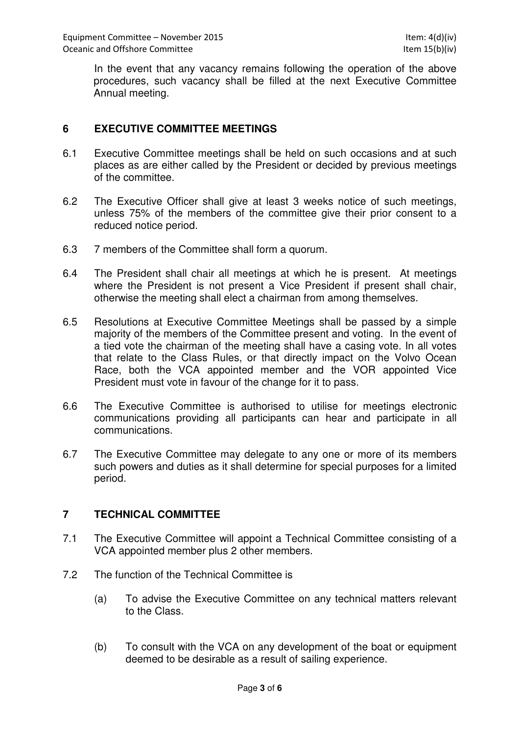In the event that any vacancy remains following the operation of the above procedures, such vacancy shall be filled at the next Executive Committee Annual meeting.

# **6 EXECUTIVE COMMITTEE MEETINGS**

- 6.1 Executive Committee meetings shall be held on such occasions and at such places as are either called by the President or decided by previous meetings of the committee.
- 6.2 The Executive Officer shall give at least 3 weeks notice of such meetings, unless 75% of the members of the committee give their prior consent to a reduced notice period.
- 6.3 7 members of the Committee shall form a quorum.
- 6.4 The President shall chair all meetings at which he is present. At meetings where the President is not present a Vice President if present shall chair, otherwise the meeting shall elect a chairman from among themselves.
- 6.5 Resolutions at Executive Committee Meetings shall be passed by a simple majority of the members of the Committee present and voting. In the event of a tied vote the chairman of the meeting shall have a casing vote. In all votes that relate to the Class Rules, or that directly impact on the Volvo Ocean Race, both the VCA appointed member and the VOR appointed Vice President must vote in favour of the change for it to pass.
- 6.6 The Executive Committee is authorised to utilise for meetings electronic communications providing all participants can hear and participate in all communications.
- 6.7 The Executive Committee may delegate to any one or more of its members such powers and duties as it shall determine for special purposes for a limited period.

#### **7 TECHNICAL COMMITTEE**

- 7.1 The Executive Committee will appoint a Technical Committee consisting of a VCA appointed member plus 2 other members.
- 7.2 The function of the Technical Committee is
	- (a) To advise the Executive Committee on any technical matters relevant to the Class.
	- (b) To consult with the VCA on any development of the boat or equipment deemed to be desirable as a result of sailing experience.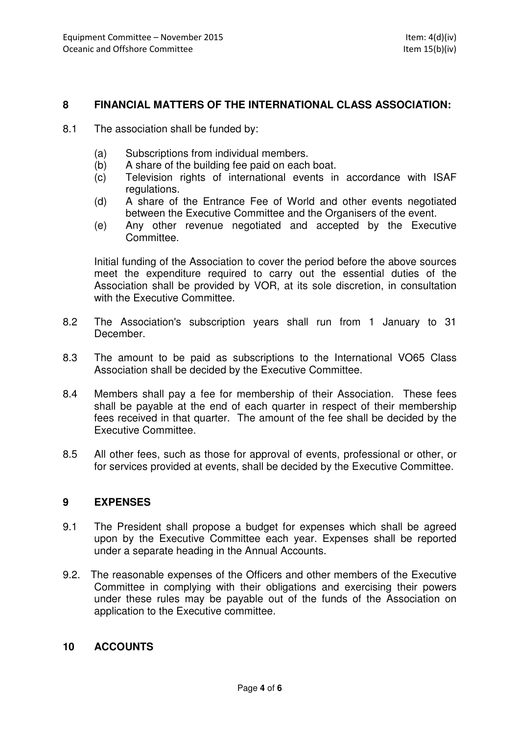## **8 FINANCIAL MATTERS OF THE INTERNATIONAL CLASS ASSOCIATION:**

- 8.1 The association shall be funded by:
	- (a) Subscriptions from individual members.
	- (b) A share of the building fee paid on each boat.
	- (c) Television rights of international events in accordance with ISAF regulations.
	- (d) A share of the Entrance Fee of World and other events negotiated between the Executive Committee and the Organisers of the event.
	- (e) Any other revenue negotiated and accepted by the Executive Committee.

Initial funding of the Association to cover the period before the above sources meet the expenditure required to carry out the essential duties of the Association shall be provided by VOR, at its sole discretion, in consultation with the Executive Committee.

- 8.2 The Association's subscription years shall run from 1 January to 31 December.
- 8.3 The amount to be paid as subscriptions to the International VO65 Class Association shall be decided by the Executive Committee.
- 8.4 Members shall pay a fee for membership of their Association. These fees shall be payable at the end of each quarter in respect of their membership fees received in that quarter. The amount of the fee shall be decided by the Executive Committee.
- 8.5 All other fees, such as those for approval of events, professional or other, or for services provided at events, shall be decided by the Executive Committee.

#### **9 EXPENSES**

- 9.1 The President shall propose a budget for expenses which shall be agreed upon by the Executive Committee each year. Expenses shall be reported under a separate heading in the Annual Accounts.
- 9.2. The reasonable expenses of the Officers and other members of the Executive Committee in complying with their obligations and exercising their powers under these rules may be payable out of the funds of the Association on application to the Executive committee.

#### **10 ACCOUNTS**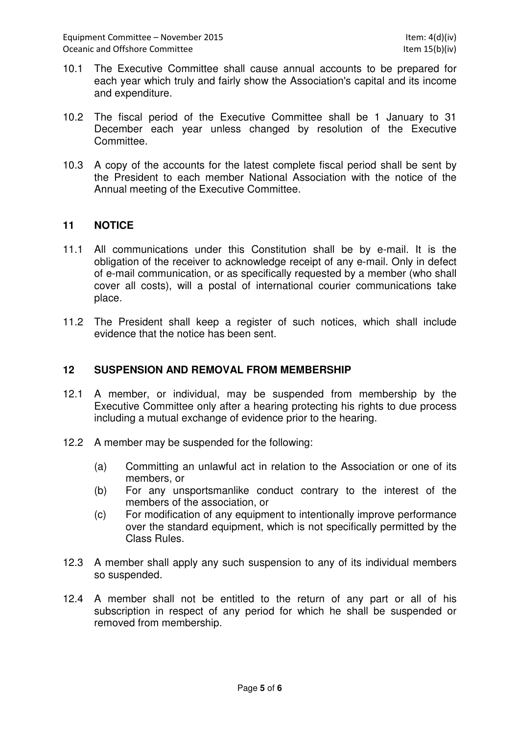- 10.1 The Executive Committee shall cause annual accounts to be prepared for each year which truly and fairly show the Association's capital and its income and expenditure.
- 10.2 The fiscal period of the Executive Committee shall be 1 January to 31 December each year unless changed by resolution of the Executive Committee.
- 10.3 A copy of the accounts for the latest complete fiscal period shall be sent by the President to each member National Association with the notice of the Annual meeting of the Executive Committee.

## **11 NOTICE**

- 11.1 All communications under this Constitution shall be by e-mail. It is the obligation of the receiver to acknowledge receipt of any e-mail. Only in defect of e-mail communication, or as specifically requested by a member (who shall cover all costs), will a postal of international courier communications take place.
- 11.2 The President shall keep a register of such notices, which shall include evidence that the notice has been sent.

#### **12 SUSPENSION AND REMOVAL FROM MEMBERSHIP**

- 12.1 A member, or individual, may be suspended from membership by the Executive Committee only after a hearing protecting his rights to due process including a mutual exchange of evidence prior to the hearing.
- 12.2 A member may be suspended for the following:
	- (a) Committing an unlawful act in relation to the Association or one of its members, or
	- (b) For any unsportsmanlike conduct contrary to the interest of the members of the association, or
	- (c) For modification of any equipment to intentionally improve performance over the standard equipment, which is not specifically permitted by the Class Rules.
- 12.3 A member shall apply any such suspension to any of its individual members so suspended.
- 12.4 A member shall not be entitled to the return of any part or all of his subscription in respect of any period for which he shall be suspended or removed from membership.